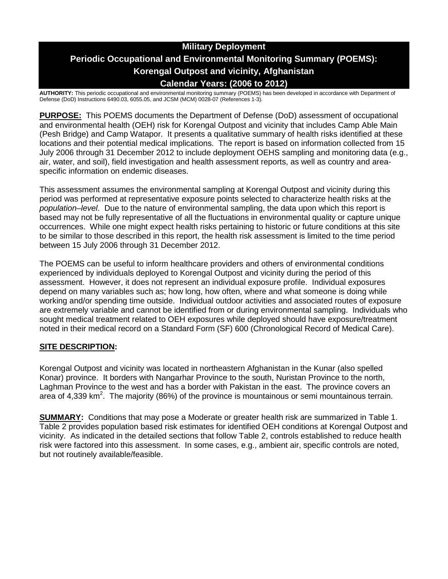# **Military Deployment Periodic Occupational and Environmental Monitoring Summary (POEMS): Korengal Outpost and vicinity, Afghanistan Calendar Years: (2006 to 2012)**

**AUTHORITY:** This periodic occupational and environmental monitoring summary (POEMS) has been developed in accordance with Department of Defense (DoD) Instructions 6490.03, 6055.05, and JCSM (MCM) 0028-07 (References 1-3).

**PURPOSE:** This POEMS documents the Department of Defense (DoD) assessment of occupational and environmental health (OEH) risk for Korengal Outpost and vicinity that includes Camp Able Main (Pesh Bridge) and Camp Watapor. It presents a qualitative summary of health risks identified at these locations and their potential medical implications. The report is based on information collected from 15 July 2006 through 31 December 2012 to include deployment OEHS sampling and monitoring data (e.g., air, water, and soil), field investigation and health assessment reports, as well as country and areaspecific information on endemic diseases.

This assessment assumes the environmental sampling at Korengal Outpost and vicinity during this period was performed at representative exposure points selected to characterize health risks at the *population–level*. Due to the nature of environmental sampling, the data upon which this report is based may not be fully representative of all the fluctuations in environmental quality or capture unique occurrences. While one might expect health risks pertaining to historic or future conditions at this site to be similar to those described in this report, the health risk assessment is limited to the time period between 15 July 2006 through 31 December 2012.

The POEMS can be useful to inform healthcare providers and others of environmental conditions experienced by individuals deployed to Korengal Outpost and vicinity during the period of this assessment. However, it does not represent an individual exposure profile. Individual exposures depend on many variables such as; how long, how often, where and what someone is doing while working and/or spending time outside. Individual outdoor activities and associated routes of exposure are extremely variable and cannot be identified from or during environmental sampling. Individuals who sought medical treatment related to OEH exposures while deployed should have exposure/treatment noted in their medical record on a Standard Form (SF) 600 (Chronological Record of Medical Care).

### **SITE DESCRIPTION:**

Korengal Outpost and vicinity was located in northeastern Afghanistan in the Kunar (also spelled Konar) province. It borders with Nangarhar Province to the south, Nuristan Province to the north, Laghman Province to the west and has a border with Pakistan in the east. The province covers an area of 4,339 km<sup>2</sup>. The majority (86%) of the province is mountainous or semi mountainous terrain.

**SUMMARY:** Conditions that may pose a Moderate or greater health risk are summarized in Table 1. Table 2 provides population based risk estimates for identified OEH conditions at Korengal Outpost and vicinity. As indicated in the detailed sections that follow Table 2, controls established to reduce health risk were factored into this assessment. In some cases, e.g., ambient air, specific controls are noted, but not routinely available/feasible.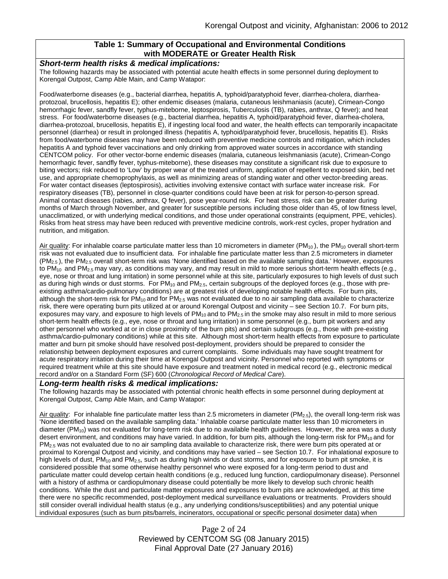### **Table 1: Summary of Occupational and Environmental Conditions with MODERATE or Greater Health Risk**

#### *Short-term health risks & medical implications:*

The following hazards may be associated with potential acute health effects in some personnel during deployment to Korengal Outpost, Camp Able Main, and Camp Watapor:

Food/waterborne diseases (e.g., bacterial diarrhea, hepatitis A, typhoid/paratyphoid fever, diarrhea-cholera, diarrheaprotozoal, brucellosis, hepatitis E); other endemic diseases (malaria, cutaneous leishmaniasis (acute), Crimean-Congo hemorrhagic fever, sandfly fever, typhus-miteborne, leptospirosis, Tuberculosis (TB), rabies, anthrax, Q fever); and heat stress. For food/waterborne diseases (e.g., bacterial diarrhea, hepatitis A, typhoid/paratyphoid fever, diarrhea-cholera, diarrhea-protozoal, brucellosis, hepatitis E), if ingesting local food and water, the health effects can temporarily incapacitate personnel (diarrhea) or result in prolonged illness (hepatitis A, typhoid/paratyphoid fever, brucellosis, hepatitis E). Risks from food/waterborne diseases may have been reduced with preventive medicine controls and mitigation, which includes hepatitis A and typhoid fever vaccinations and only drinking from approved water sources in accordance with standing CENTCOM policy. For other vector-borne endemic diseases (malaria, cutaneous leishmaniasis (acute), Crimean-Congo hemorrhagic fever, sandfly fever, typhus-miteborne), these diseases may constitute a significant risk due to exposure to biting vectors; risk reduced to 'Low' by proper wear of the treated uniform, application of repellent to exposed skin, bed net use, and appropriate chemoprophylaxis, as well as minimizing areas of standing water and other vector-breeding areas. For water contact diseases (leptospirosis), activities involving extensive contact with surface water increase risk. For respiratory diseases (TB), personnel in close-quarter conditions could have been at risk for person-to-person spread. Animal contact diseases (rabies, anthrax, Q fever), pose year-round risk. For heat stress, risk can be greater during months of March through November, and greater for susceptible persons including those older than 45, of low fitness level, unacclimatized, or with underlying medical conditions, and those under operational constraints (equipment, PPE, vehicles). Risks from heat stress may have been reduced with preventive medicine controls, work-rest cycles, proper hydration and nutrition, and mitigation.

Air quality: For inhalable coarse particulate matter less than 10 micrometers in diameter ( $PM_{10}$ ), the  $PM_{10}$  overall short-term risk was not evaluated due to insufficient data. For inhalable fine particulate matter less than 2.5 micrometers in diameter  $(PM<sub>2.5</sub>)$ , the PM<sub>2.5</sub> overall short-term risk was 'None identified based on the available sampling data.' However, exposures to PM<sub>10</sub> and PM<sub>2.5</sub> may vary, as conditions may vary, and may result in mild to more serious short-term health effects (e.g., eye, nose or throat and lung irritation) in some personnel while at this site, particularly exposures to high levels of dust such as during high winds or dust storms. For  $PM_{10}$  and  $PM_{2.5}$ , certain subgroups of the deployed forces (e.g., those with preexisting asthma/cardio-pulmonary conditions) are at greatest risk of developing notable health effects. For burn pits, although the short-term risk for  $PM_{10}$  and for  $PM_{2.5}$  was not evaluated due to no air sampling data available to characterize risk, there were operating burn pits utilized at or around Korengal Outpost and vicinity – see Section 10.7. For burn pits, exposures may vary, and exposure to high levels of  $PM_{10}$  and to  $PM_{2.5}$  in the smoke may also result in mild to more serious short-term health effects (e.g., eye, nose or throat and lung irritation) in some personnel (e.g., burn pit workers and any other personnel who worked at or in close proximity of the burn pits) and certain subgroups (e.g., those with pre-existing asthma/cardio-pulmonary conditions) while at this site. Although most short-term health effects from exposure to particulate matter and burn pit smoke should have resolved post-deployment, providers should be prepared to consider the relationship between deployment exposures and current complaints. Some individuals may have sought treatment for acute respiratory irritation during their time at Korengal Outpost and vicinity. Personnel who reported with symptoms or required treatment while at this site should have exposure and treatment noted in medical record (e.g., electronic medical record and/or on a Standard Form (SF) 600 (*Chronological Record of Medical Care*).

#### *Long-term health risks & medical implications:*

The following hazards may be associated with potential chronic health effects in some personnel during deployment at Korengal Outpost, Camp Able Main, and Camp Watapor:

Air quality: For inhalable fine particulate matter less than 2.5 micrometers in diameter (PM<sub>2.5</sub>), the overall long-term risk was 'None identified based on the available sampling data.' Inhalable coarse particulate matter less than 10 micrometers in diameter ( $PM_{10}$ ) was not evaluated for long-term risk due to no available health guidelines. However, the area was a dusty desert environment, and conditions may have varied. In addition, for burn pits, although the long-term risk for  $PM_{10}$  and for  $PM_{2.5}$  was not evaluated due to no air sampling data available to characterize risk, there were burn pits operated at or proximal to Korengal Outpost and vicinity, and conditions may have varied – see Section 10.7. For inhalational exposure to high levels of dust, PM<sub>10</sub> and PM<sub>2.5</sub>, such as during high winds or dust storms, and for exposure to burn pit smoke, it is considered possible that some otherwise healthy personnel who were exposed for a long-term period to dust and particulate matter could develop certain health conditions (e.g., reduced lung function, cardiopulmonary disease). Personnel with a history of asthma or cardiopulmonary disease could potentially be more likely to develop such chronic health conditions. While the dust and particulate matter exposures and exposures to burn pits are acknowledged, at this time there were no specific recommended, post-deployment medical surveillance evaluations or treatments. Providers should still consider overall individual health status (e.g., any underlying conditions/susceptibilities) and any potential unique individual exposures (such as burn pits/barrels, incinerators, occupational or specific personal dosimeter data) when

> Page 2 of 24 Reviewed by CENTCOM SG (08 January 2015) Final Approval Date (27 January 2016)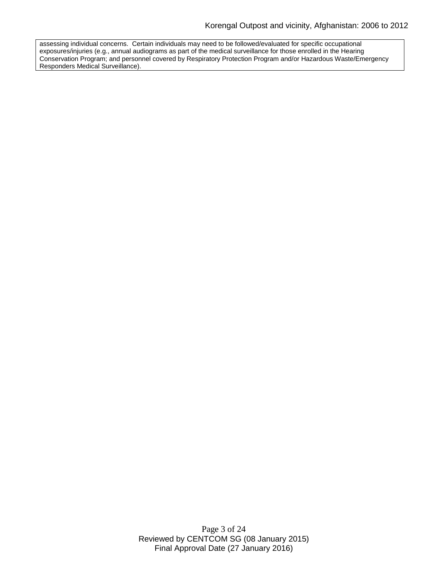assessing individual concerns. Certain individuals may need to be followed/evaluated for specific occupational exposures/injuries (e.g., annual audiograms as part of the medical surveillance for those enrolled in the Hearing Conservation Program; and personnel covered by Respiratory Protection Program and/or Hazardous Waste/Emergency Responders Medical Surveillance).

> Page 3 of 24 Reviewed by CENTCOM SG (08 January 2015) Final Approval Date (27 January 2016)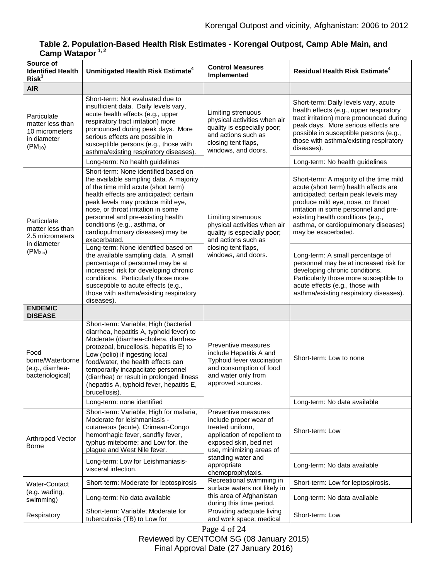# **Table 2. Population-Based Health Risk Estimates - Korengal Outpost, Camp Able Main, and Camp Watapor 1, 2**

| Source of<br><b>Identified Health</b><br>Risk <sup>3</sup>                        | Unmitigated Health Risk Estimate <sup>4</sup>                                                                                                                                                                                                                                                                                                                                                  | <b>Control Measures</b><br>Implemented                                                                                                                                                                          | <b>Residual Health Risk Estimate<sup>4</sup></b>                                                                                                                                                                                                                                                           |
|-----------------------------------------------------------------------------------|------------------------------------------------------------------------------------------------------------------------------------------------------------------------------------------------------------------------------------------------------------------------------------------------------------------------------------------------------------------------------------------------|-----------------------------------------------------------------------------------------------------------------------------------------------------------------------------------------------------------------|------------------------------------------------------------------------------------------------------------------------------------------------------------------------------------------------------------------------------------------------------------------------------------------------------------|
| <b>AIR</b>                                                                        |                                                                                                                                                                                                                                                                                                                                                                                                |                                                                                                                                                                                                                 |                                                                                                                                                                                                                                                                                                            |
| Particulate<br>matter less than<br>10 micrometers<br>in diameter<br>$(PM_{10})$   | Short-term: Not evaluated due to<br>insufficient data. Daily levels vary,<br>acute health effects (e.g., upper<br>respiratory tract irritation) more<br>pronounced during peak days. More<br>serious effects are possible in<br>susceptible persons (e.g., those with<br>asthma/existing respiratory diseases).                                                                                | Limiting strenuous<br>physical activities when air<br>quality is especially poor;<br>and actions such as<br>closing tent flaps,<br>windows, and doors.                                                          | Short-term: Daily levels vary, acute<br>health effects (e.g., upper respiratory<br>tract irritation) more pronounced during<br>peak days. More serious effects are<br>possible in susceptible persons (e.g.,<br>those with asthma/existing respiratory<br>diseases).                                       |
|                                                                                   | Long-term: No health guidelines                                                                                                                                                                                                                                                                                                                                                                |                                                                                                                                                                                                                 | Long-term: No health guidelines                                                                                                                                                                                                                                                                            |
| Particulate<br>matter less than<br>2.5 micrometers<br>in diameter<br>$(PM_{2.5})$ | Short-term: None identified based on<br>the available sampling data. A majority<br>of the time mild acute (short term)<br>health effects are anticipated; certain<br>peak levels may produce mild eye,<br>nose, or throat irritation in some<br>personnel and pre-existing health<br>conditions (e.g., asthma, or<br>cardiopulmonary diseases) may be<br>exacerbated.                          | Limiting strenuous<br>physical activities when air<br>quality is especially poor;<br>and actions such as<br>closing tent flaps,<br>windows, and doors.                                                          | Short-term: A majority of the time mild<br>acute (short term) health effects are<br>anticipated; certain peak levels may<br>produce mild eye, nose, or throat<br>irritation in some personnel and pre-<br>existing health conditions (e.g.,<br>asthma, or cardiopulmonary diseases)<br>may be exacerbated. |
|                                                                                   | Long-term: None identified based on<br>the available sampling data. A small<br>percentage of personnel may be at<br>increased risk for developing chronic<br>conditions. Particularly those more<br>susceptible to acute effects (e.g.,<br>those with asthma/existing respiratory<br>diseases)                                                                                                 |                                                                                                                                                                                                                 | Long-term: A small percentage of<br>personnel may be at increased risk for<br>developing chronic conditions.<br>Particularly those more susceptible to<br>acute effects (e.g., those with<br>asthma/existing respiratory diseases).                                                                        |
| <b>ENDEMIC</b><br><b>DISEASE</b>                                                  |                                                                                                                                                                                                                                                                                                                                                                                                |                                                                                                                                                                                                                 |                                                                                                                                                                                                                                                                                                            |
| Food<br>borne/Waterborne<br>(e.g., diarrhea-<br>bacteriological)                  | Short-term: Variable; High (bacterial<br>diarrhea, hepatitis A, typhoid fever) to<br>Moderate (diarrhea-cholera, diarrhea-<br>protozoal, brucellosis, hepatitis E) to<br>Low (polio) if ingesting local<br>food/water, the health effects can<br>temporarily incapacitate personnel<br>(diarrhea) or result in prolonged illness<br>(hepatitis A, typhoid fever, hepatitis E,<br>brucellosis). | Preventive measures<br>include Hepatitis A and<br>Typhoid fever vaccination<br>and consumption of food<br>and water only from<br>approved sources.                                                              | Short-term: Low to none                                                                                                                                                                                                                                                                                    |
|                                                                                   | Long-term: none identified                                                                                                                                                                                                                                                                                                                                                                     |                                                                                                                                                                                                                 | Long-term: No data available                                                                                                                                                                                                                                                                               |
| Arthropod Vector<br><b>Borne</b>                                                  | Short-term: Variable; High for malaria,<br>Moderate for leishmaniasis -<br>cutaneous (acute), Crimean-Congo<br>hemorrhagic fever, sandfly fever,<br>typhus-miteborne; and Low for, the<br>plague and West Nile fever.                                                                                                                                                                          | Preventive measures<br>include proper wear of<br>treated uniform,<br>application of repellent to<br>exposed skin, bed net<br>use, minimizing areas of<br>standing water and<br>appropriate<br>chemoprophylaxis. | Short-term: Low                                                                                                                                                                                                                                                                                            |
|                                                                                   | Long-term: Low for Leishmaniasis-<br>visceral infection.                                                                                                                                                                                                                                                                                                                                       |                                                                                                                                                                                                                 | Long-term: No data available                                                                                                                                                                                                                                                                               |
| Water-Contact                                                                     | Short-term: Moderate for leptospirosis                                                                                                                                                                                                                                                                                                                                                         | Recreational swimming in<br>surface waters not likely in                                                                                                                                                        | Short-term: Low for leptospirosis.                                                                                                                                                                                                                                                                         |
| (e.g. wading,<br>swimming)                                                        | Long-term: No data available                                                                                                                                                                                                                                                                                                                                                                   | this area of Afghanistan<br>during this time period.                                                                                                                                                            | Long-term: No data available                                                                                                                                                                                                                                                                               |
| Respiratory                                                                       | Short-term: Variable; Moderate for<br>tuberculosis (TB) to Low for                                                                                                                                                                                                                                                                                                                             | Providing adequate living<br>and work space; medical                                                                                                                                                            | Short-term: Low                                                                                                                                                                                                                                                                                            |

Page 4 of 24 Reviewed by CENTCOM SG (08 January 2015) Final Approval Date (27 January 2016)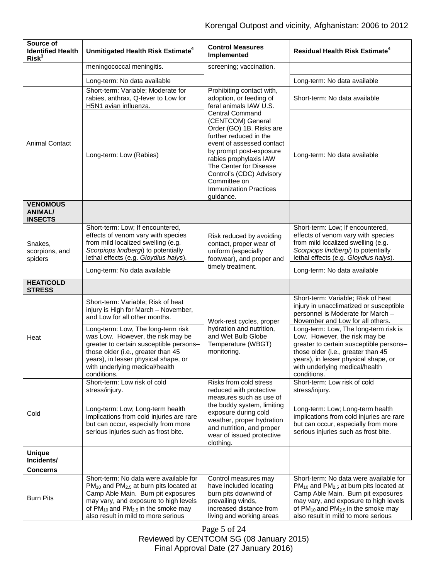| Source of<br><b>Identified Health</b><br>Risk <sup>3</sup> | Unmitigated Health Risk Estimate <sup>4</sup>                                                                                                                                                                                                     | <b>Control Measures</b><br>Implemented                                                                                                                                                                                                                                                                  | <b>Residual Health Risk Estimate<sup>4</sup></b>                                                                                                                                                                                                 |
|------------------------------------------------------------|---------------------------------------------------------------------------------------------------------------------------------------------------------------------------------------------------------------------------------------------------|---------------------------------------------------------------------------------------------------------------------------------------------------------------------------------------------------------------------------------------------------------------------------------------------------------|--------------------------------------------------------------------------------------------------------------------------------------------------------------------------------------------------------------------------------------------------|
|                                                            | meningococcal meningitis.                                                                                                                                                                                                                         | screening; vaccination.                                                                                                                                                                                                                                                                                 |                                                                                                                                                                                                                                                  |
|                                                            | Long-term: No data available                                                                                                                                                                                                                      |                                                                                                                                                                                                                                                                                                         | Long-term: No data available                                                                                                                                                                                                                     |
|                                                            | Short-term: Variable; Moderate for<br>rabies, anthrax, Q-fever to Low for<br>H5N1 avian influenza.                                                                                                                                                | Prohibiting contact with,<br>adoption, or feeding of<br>feral animals IAW U.S.                                                                                                                                                                                                                          | Short-term: No data available                                                                                                                                                                                                                    |
| <b>Animal Contact</b>                                      | Long-term: Low (Rabies)                                                                                                                                                                                                                           | <b>Central Command</b><br>(CENTCOM) General<br>Order (GO) 1B. Risks are<br>further reduced in the<br>event of assessed contact<br>by prompt post-exposure<br>rabies prophylaxis IAW<br>The Center for Disease<br>Control's (CDC) Advisory<br>Committee on<br><b>Immunization Practices</b><br>guidance. | Long-term: No data available                                                                                                                                                                                                                     |
| <b>VENOMOUS</b><br>ANIMAL/<br><b>INSECTS</b>               |                                                                                                                                                                                                                                                   |                                                                                                                                                                                                                                                                                                         |                                                                                                                                                                                                                                                  |
| Snakes,<br>scorpions, and<br>spiders                       | Short-term: Low; If encountered,<br>effects of venom vary with species<br>from mild localized swelling (e.g.<br>Scorpiops lindbergi) to potentially<br>lethal effects (e.g. Gloydius halys).                                                      | Risk reduced by avoiding<br>contact, proper wear of<br>uniform (especially<br>footwear), and proper and                                                                                                                                                                                                 | Short-term: Low; If encountered,<br>effects of venom vary with species<br>from mild localized swelling (e.g.<br>Scorpiops lindbergi) to potentially<br>lethal effects (e.g. Gloydius halys).                                                     |
|                                                            | Long-term: No data available                                                                                                                                                                                                                      | timely treatment.                                                                                                                                                                                                                                                                                       | Long-term: No data available                                                                                                                                                                                                                     |
| <b>HEAT/COLD</b><br><b>STRESS</b>                          |                                                                                                                                                                                                                                                   |                                                                                                                                                                                                                                                                                                         |                                                                                                                                                                                                                                                  |
| Heat                                                       | Short-term: Variable; Risk of heat<br>injury is High for March - November,<br>and Low for all other months.                                                                                                                                       | Work-rest cycles, proper<br>hydration and nutrition,<br>and Wet Bulb Globe<br>Temperature (WBGT)<br>monitoring.                                                                                                                                                                                         | Short-term: Variable; Risk of heat<br>injury in unacclimatized or susceptible<br>personnel is Moderate for March -<br>November and Low for all others.                                                                                           |
|                                                            | Long-term: Low, The long-term risk<br>was Low. However, the risk may be<br>greater to certain susceptible persons-<br>those older (i.e., greater than 45<br>years), in lesser physical shape, or<br>with underlying medical/health<br>conditions. |                                                                                                                                                                                                                                                                                                         | Long-term: Low, The long-term risk is<br>Low. However, the risk may be<br>greater to certain susceptible persons-<br>those older (i.e., greater than 45<br>years), in lesser physical shape, or<br>with underlying medical/health<br>conditions. |
| Cold                                                       | Short-term: Low risk of cold<br>stress/injury.                                                                                                                                                                                                    | Risks from cold stress<br>reduced with protective                                                                                                                                                                                                                                                       | Short-term: Low risk of cold<br>stress/injury.                                                                                                                                                                                                   |
|                                                            | Long-term: Low; Long-term health<br>implications from cold injuries are rare<br>but can occur, especially from more<br>serious injuries such as frost bite.                                                                                       | measures such as use of<br>the buddy system, limiting<br>exposure during cold<br>weather, proper hydration<br>and nutrition, and proper<br>wear of issued protective<br>clothing.                                                                                                                       | Long-term: Low; Long-term health<br>implications from cold injuries are rare<br>but can occur, especially from more<br>serious injuries such as frost bite.                                                                                      |
| <b>Unique</b><br>Incidents/                                |                                                                                                                                                                                                                                                   |                                                                                                                                                                                                                                                                                                         |                                                                                                                                                                                                                                                  |
| Concerns                                                   | Short-term: No data were available for                                                                                                                                                                                                            | Control measures may                                                                                                                                                                                                                                                                                    | Short-term: No data were available for                                                                                                                                                                                                           |
| <b>Burn Pits</b>                                           | $PM_{10}$ and $PM_{2.5}$ at burn pits located at<br>Camp Able Main. Burn pit exposures<br>may vary, and exposure to high levels<br>of $PM_{10}$ and $PM_{2.5}$ in the smoke may                                                                   | have included locating<br>burn pits downwind of<br>prevailing winds,<br>increased distance from                                                                                                                                                                                                         | $PM_{10}$ and $PM_{2.5}$ at burn pits located at<br>Camp Able Main. Burn pit exposures<br>may vary, and exposure to high levels<br>of PM <sub>10</sub> and PM <sub>2.5</sub> in the smoke may                                                    |
|                                                            | also result in mild to more serious                                                                                                                                                                                                               | living and working areas                                                                                                                                                                                                                                                                                | also result in mild to more serious                                                                                                                                                                                                              |

Page 5 of 24 Reviewed by CENTCOM SG (08 January 2015) Final Approval Date (27 January 2016)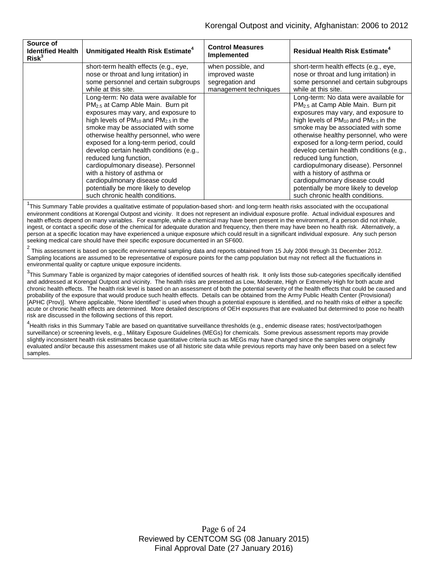| Source of<br><b>Identified Health</b><br>Risk <sup>3</sup> | Unmitigated Health Risk Estimate <sup>4</sup>                                                                                                                                                                                                                                                                                                                                                                                                                                                                                                                   | <b>Control Measures</b><br><b>Implemented</b>                                    | <b>Residual Health Risk Estimate<sup>4</sup></b>                                                                                                                                                                                                                                                                                                                                                                                                                                                                                                                |
|------------------------------------------------------------|-----------------------------------------------------------------------------------------------------------------------------------------------------------------------------------------------------------------------------------------------------------------------------------------------------------------------------------------------------------------------------------------------------------------------------------------------------------------------------------------------------------------------------------------------------------------|----------------------------------------------------------------------------------|-----------------------------------------------------------------------------------------------------------------------------------------------------------------------------------------------------------------------------------------------------------------------------------------------------------------------------------------------------------------------------------------------------------------------------------------------------------------------------------------------------------------------------------------------------------------|
|                                                            | short-term health effects (e.g., eye,<br>nose or throat and lung irritation) in<br>some personnel and certain subgroups<br>while at this site.                                                                                                                                                                                                                                                                                                                                                                                                                  | when possible, and<br>improved waste<br>segregation and<br>management techniques | short-term health effects (e.g., eye,<br>nose or throat and lung irritation) in<br>some personnel and certain subgroups<br>while at this site.                                                                                                                                                                                                                                                                                                                                                                                                                  |
|                                                            | Long-term: No data were available for<br>PM <sub>2.5</sub> at Camp Able Main. Burn pit<br>exposures may vary, and exposure to<br>high levels of $PM_{10}$ and $PM_{2.5}$ in the<br>smoke may be associated with some<br>otherwise healthy personnel, who were<br>exposed for a long-term period, could<br>develop certain health conditions (e.g.,<br>reduced lung function,<br>cardiopulmonary disease). Personnel<br>with a history of asthma or<br>cardiopulmonary disease could<br>potentially be more likely to develop<br>such chronic health conditions. |                                                                                  | Long-term: No data were available for<br>PM <sub>2.5</sub> at Camp Able Main. Burn pit<br>exposures may vary, and exposure to<br>high levels of $PM_{10}$ and $PM_{2.5}$ in the<br>smoke may be associated with some<br>otherwise healthy personnel, who were<br>exposed for a long-term period, could<br>develop certain health conditions (e.g.,<br>reduced lung function,<br>cardiopulmonary disease). Personnel<br>with a history of asthma or<br>cardiopulmonary disease could<br>potentially be more likely to develop<br>such chronic health conditions. |

<sup>1</sup>This Summary Table provides a qualitative estimate of population-based short- and long-term health risks associated with the occupational environment conditions at Korengal Outpost and vicinity. It does not represent an individual exposure profile. Actual individual exposures and health effects depend on many variables. For example, while a chemical may have been present in the environment, if a person did not inhale, ingest, or contact a specific dose of the chemical for adequate duration and frequency, then there may have been no health risk. Alternatively, a person at a specific location may have experienced a unique exposure which could result in a significant individual exposure. Any such person seeking medical care should have their specific exposure documented in an SF600.

 $2$  This assessment is based on specific environmental sampling data and reports obtained from 15 July 2006 through 31 December 2012. Sampling locations are assumed to be representative of exposure points for the camp population but may not reflect all the fluctuations in environmental quality or capture unique exposure incidents.

 $^3$ This Summary Table is organized by major categories of identified sources of health risk. It only lists those sub-categories specifically identified and addressed at Korengal Outpost and vicinity. The health risks are presented as Low, Moderate, High or Extremely High for both acute and chronic health effects. The health risk level is based on an assessment of both the potential severity of the health effects that could be caused and probability of the exposure that would produce such health effects. Details can be obtained from the Army Public Health Center (Provisional) [APHC (Prov)]. Where applicable, "None Identified" is used when though a potential exposure is identified, and no health risks of either a specific acute or chronic health effects are determined. More detailed descriptions of OEH exposures that are evaluated but determined to pose no health risk are discussed in the following sections of this report.

<sup>4</sup>Health risks in this Summary Table are based on quantitative surveillance thresholds (e.g., endemic disease rates; host/vector/pathogen surveillance) or screening levels, e.g., Military Exposure Guidelines (MEGs) for chemicals*.* Some previous assessment reports may provide slightly inconsistent health risk estimates because quantitative criteria such as MEGs may have changed since the samples were originally evaluated and/or because this assessment makes use of all historic site data while previous reports may have only been based on a select few samples.

> Page 6 of 24 Reviewed by CENTCOM SG (08 January 2015) Final Approval Date (27 January 2016)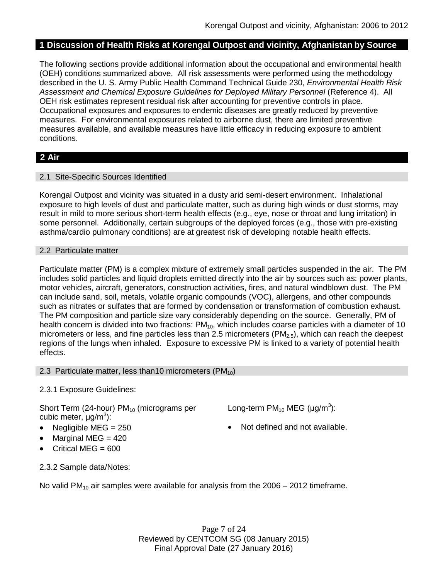# **1 Discussion of Health Risks at Korengal Outpost and vicinity, Afghanistan by Source**

The following sections provide additional information about the occupational and environmental health (OEH) conditions summarized above. All risk assessments were performed using the methodology described in the U. S. Army Public Health Command Technical Guide 230, *Environmental Health Risk Assessment and Chemical Exposure Guidelines for Deployed Military Personnel* (Reference 4). All OEH risk estimates represent residual risk after accounting for preventive controls in place. Occupational exposures and exposures to endemic diseases are greatly reduced by preventive measures. For environmental exposures related to airborne dust, there are limited preventive measures available, and available measures have little efficacy in reducing exposure to ambient conditions.

# **2 Air**

### 2.1 Site-Specific Sources Identified

Korengal Outpost and vicinity was situated in a dusty arid semi-desert environment. Inhalational exposure to high levels of dust and particulate matter, such as during high winds or dust storms, may result in mild to more serious short-term health effects (e.g., eye, nose or throat and lung irritation) in some personnel. Additionally, certain subgroups of the deployed forces (e.g., those with pre-existing asthma/cardio pulmonary conditions) are at greatest risk of developing notable health effects.

### 2.2 Particulate matter

Particulate matter (PM) is a complex mixture of extremely small particles suspended in the air. The PM includes solid particles and liquid droplets emitted directly into the air by sources such as: power plants, motor vehicles, aircraft, generators, construction activities, fires, and natural windblown dust. The PM can include sand, soil, metals, volatile organic compounds (VOC), allergens, and other compounds such as nitrates or sulfates that are formed by condensation or transformation of combustion exhaust. The PM composition and particle size vary considerably depending on the source. Generally, PM of health concern is divided into two fractions:  $PM_{10}$ , which includes coarse particles with a diameter of 10 micrometers or less, and fine particles less than 2.5 micrometers ( $PM<sub>2.5</sub>$ ), which can reach the deepest regions of the lungs when inhaled. Exposure to excessive PM is linked to a variety of potential health effects.

2.3 Particulate matter, less than 10 micrometers ( $PM_{10}$ )

### 2.3.1 Exposure Guidelines:

Short Term (24-hour)  $PM_{10}$  (micrograms per cubic meter, μg/m<sup>3</sup>):

- 
- Marginal MEG = 420
- Critical MEG =  $600$

Long-term  $PM_{10}$  MEG (µg/m<sup>3</sup>):

• Negligible MEG = 250 **•** Not defined and not available.

2.3.2 Sample data/Notes:

No valid PM<sub>10</sub> air samples were available for analysis from the 2006 – 2012 timeframe.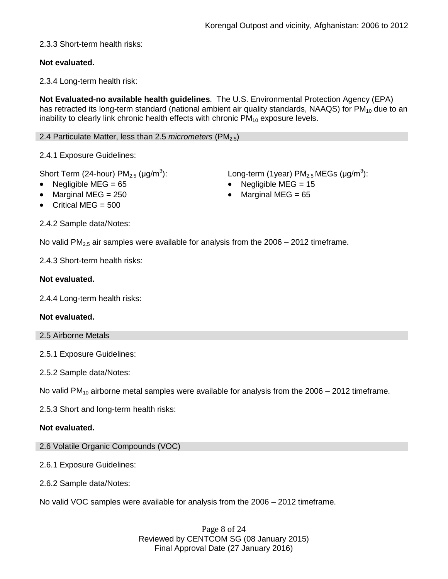# 2.3.3 Short-term health risks:

# **Not evaluated.**

2.3.4 Long-term health risk:

**Not Evaluated-no available health guidelines**. The U.S. Environmental Protection Agency (EPA) has retracted its long-term standard (national ambient air quality standards, NAAQS) for  $PM_{10}$  due to an inability to clearly link chronic health effects with chronic  $PM_{10}$  exposure levels.

### 2.4 Particulate Matter, less than 2.5 *micrometers* (PM<sub>2.5</sub>)

2.4.1 Exposure Guidelines:

Short Term (24-hour)  $PM_{2.5}$  ( $\mu$ g/m<sup>3</sup>):

- 
- 
- Critical MEG = 500

2.4.2 Sample data/Notes:

): Long-term (1year)  $PM_{2.5}$  MEGs ( $\mu$ g/m $^3$ ):

- Negligible MEG = 65 Negligible MEG = 15
	- Marginal MEG =  $250$  Marginal MEG =  $65$

No valid PM<sub>2.5</sub> air samples were available for analysis from the 2006 – 2012 timeframe.

2.4.3 Short-term health risks:

### **Not evaluated.**

2.4.4 Long-term health risks:

### **Not evaluated.**

2.5 Airborne Metals

2.5.1 Exposure Guidelines:

2.5.2 Sample data/Notes:

No valid PM<sub>10</sub> airborne metal samples were available for analysis from the  $2006 - 2012$  timeframe.

2.5.3 Short and long-term health risks:

### **Not evaluated.**

- 2.6 Volatile Organic Compounds (VOC)
- 2.6.1 Exposure Guidelines:
- 2.6.2 Sample data/Notes:

No valid VOC samples were available for analysis from the 2006 – 2012 timeframe.

Page 8 of 24 Reviewed by CENTCOM SG (08 January 2015) Final Approval Date (27 January 2016)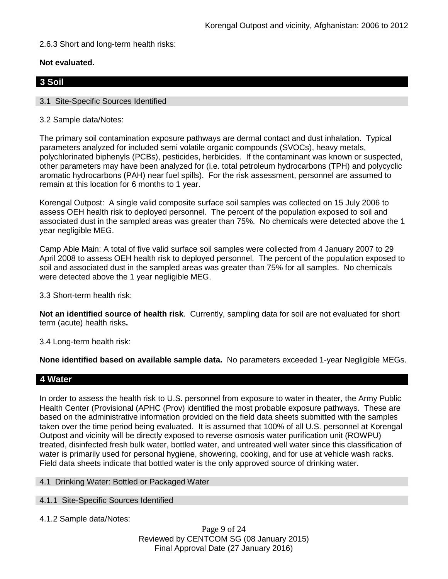2.6.3 Short and long-term health risks:

# **Not evaluated.**

# **3 Soil**

### 3.1 Site-Specific Sources Identified

3.2 Sample data/Notes:

The primary soil contamination exposure pathways are dermal contact and dust inhalation. Typical parameters analyzed for included semi volatile organic compounds (SVOCs), heavy metals, polychlorinated biphenyls (PCBs), pesticides, herbicides. If the contaminant was known or suspected, other parameters may have been analyzed for (i.e. total petroleum hydrocarbons (TPH) and polycyclic aromatic hydrocarbons (PAH) near fuel spills). For the risk assessment, personnel are assumed to remain at this location for 6 months to 1 year.

Korengal Outpost: A single valid composite surface soil samples was collected on 15 July 2006 to assess OEH health risk to deployed personnel. The percent of the population exposed to soil and associated dust in the sampled areas was greater than 75%. No chemicals were detected above the 1 year negligible MEG.

Camp Able Main: A total of five valid surface soil samples were collected from 4 January 2007 to 29 April 2008 to assess OEH health risk to deployed personnel. The percent of the population exposed to soil and associated dust in the sampled areas was greater than 75% for all samples. No chemicals were detected above the 1 year negligible MEG.

3.3 Short-term health risk:

**Not an identified source of health risk**. Currently, sampling data for soil are not evaluated for short term (acute) health risks**.**

3.4 Long-term health risk:

**None identified based on available sample data.** No parameters exceeded 1-year Negligible MEGs.

# **4 Water**

In order to assess the health risk to U.S. personnel from exposure to water in theater, the Army Public Health Center (Provisional (APHC (Prov) identified the most probable exposure pathways. These are based on the administrative information provided on the field data sheets submitted with the samples taken over the time period being evaluated. It is assumed that 100% of all U.S. personnel at Korengal Outpost and vicinity will be directly exposed to reverse osmosis water purification unit (ROWPU) treated, disinfected fresh bulk water, bottled water, and untreated well water since this classification of water is primarily used for personal hygiene, showering, cooking, and for use at vehicle wash racks. Field data sheets indicate that bottled water is the only approved source of drinking water.

#### 4.1 Drinking Water: Bottled or Packaged Water

### 4.1.1 Site-Specific Sources Identified

4.1.2 Sample data/Notes:

Page 9 of 24 Reviewed by CENTCOM SG (08 January 2015) Final Approval Date (27 January 2016)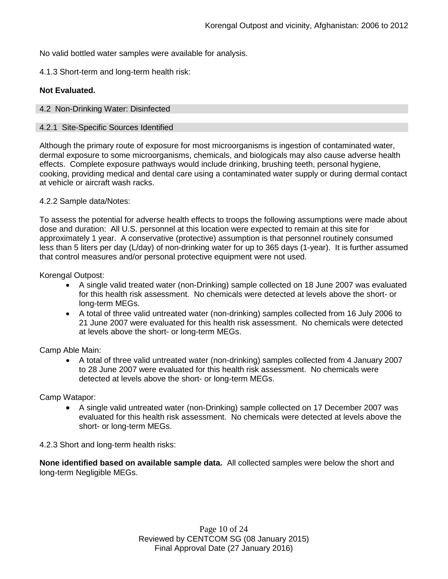No valid bottled water samples were available for analysis.

4.1.3 Short-term and long-term health risk:

### **Not Evaluated.**

#### 4.2 Non-Drinking Water: Disinfected

#### 4.2.1 Site-Specific Sources Identified

Although the primary route of exposure for most microorganisms is ingestion of contaminated water, dermal exposure to some microorganisms, chemicals, and biologicals may also cause adverse health effects. Complete exposure pathways would include drinking, brushing teeth, personal hygiene, cooking, providing medical and dental care using a contaminated water supply or during dermal contact at vehicle or aircraft wash racks.

### 4.2.2 Sample data/Notes:

To assess the potential for adverse health effects to troops the following assumptions were made about dose and duration: All U.S. personnel at this location were expected to remain at this site for approximately 1 year. A conservative (protective) assumption is that personnel routinely consumed less than 5 liters per day (L/day) of non-drinking water for up to 365 days (1-year). It is further assumed that control measures and/or personal protective equipment were not used.

Korengal Outpost:

- A single valid treated water (non-Drinking) sample collected on 18 June 2007 was evaluated for this health risk assessment. No chemicals were detected at levels above the short- or long-term MEGs.
- A total of three valid untreated water (non-drinking) samples collected from 16 July 2006 to 21 June 2007 were evaluated for this health risk assessment. No chemicals were detected at levels above the short- or long-term MEGs.

Camp Able Main:

• A total of three valid untreated water (non-drinking) samples collected from 4 January 2007 to 28 June 2007 were evaluated for this health risk assessment. No chemicals were detected at levels above the short- or long-term MEGs.

Camp Watapor:

• A single valid untreated water (non-Drinking) sample collected on 17 December 2007 was evaluated for this health risk assessment. No chemicals were detected at levels above the short- or long-term MEGs.

4.2.3 Short and long-term health risks:

**None identified based on available sample data.** All collected samples were below the short and long-term Negligible MEGs.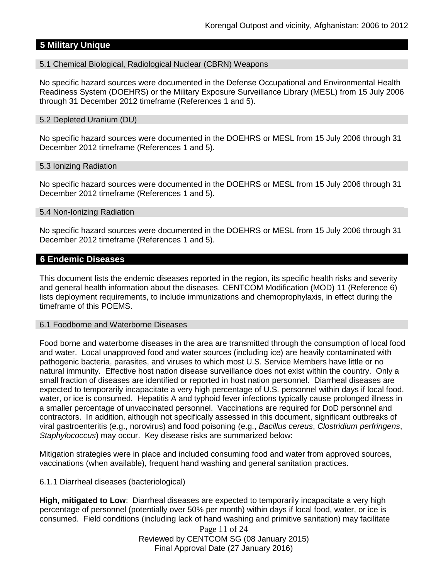# **5 Military Unique**

#### 5.1 Chemical Biological, Radiological Nuclear (CBRN) Weapons

No specific hazard sources were documented in the Defense Occupational and Environmental Health Readiness System (DOEHRS) or the Military Exposure Surveillance Library (MESL) from 15 July 2006 through 31 December 2012 timeframe (References 1 and 5).

#### 5.2 Depleted Uranium (DU)

No specific hazard sources were documented in the DOEHRS or MESL from 15 July 2006 through 31 December 2012 timeframe (References 1 and 5).

#### 5.3 Ionizing Radiation

No specific hazard sources were documented in the DOEHRS or MESL from 15 July 2006 through 31 December 2012 timeframe (References 1 and 5).

#### 5.4 Non-Ionizing Radiation

No specific hazard sources were documented in the DOEHRS or MESL from 15 July 2006 through 31 December 2012 timeframe (References 1 and 5).

#### **6 Endemic Diseases**

This document lists the endemic diseases reported in the region, its specific health risks and severity and general health information about the diseases. CENTCOM Modification (MOD) 11 (Reference 6) lists deployment requirements, to include immunizations and chemoprophylaxis, in effect during the timeframe of this POEMS.

#### 6.1 Foodborne and Waterborne Diseases

Food borne and waterborne diseases in the area are transmitted through the consumption of local food and water. Local unapproved food and water sources (including ice) are heavily contaminated with pathogenic bacteria, parasites, and viruses to which most U.S. Service Members have little or no natural immunity. Effective host nation disease surveillance does not exist within the country. Only a small fraction of diseases are identified or reported in host nation personnel. Diarrheal diseases are expected to temporarily incapacitate a very high percentage of U.S. personnel within days if local food, water, or ice is consumed. Hepatitis A and typhoid fever infections typically cause prolonged illness in a smaller percentage of unvaccinated personnel. Vaccinations are required for DoD personnel and contractors. In addition, although not specifically assessed in this document, significant outbreaks of viral gastroenteritis (e.g., norovirus) and food poisoning (e.g., *Bacillus cereus*, *Clostridium perfringens*, *Staphylococcus*) may occur. Key disease risks are summarized below:

Mitigation strategies were in place and included consuming food and water from approved sources, vaccinations (when available), frequent hand washing and general sanitation practices.

#### 6.1.1 Diarrheal diseases (bacteriological)

**High, mitigated to Low**: Diarrheal diseases are expected to temporarily incapacitate a very high percentage of personnel (potentially over 50% per month) within days if local food, water, or ice is consumed. Field conditions (including lack of hand washing and primitive sanitation) may facilitate

> Page 11 of 24 Reviewed by CENTCOM SG (08 January 2015) Final Approval Date (27 January 2016)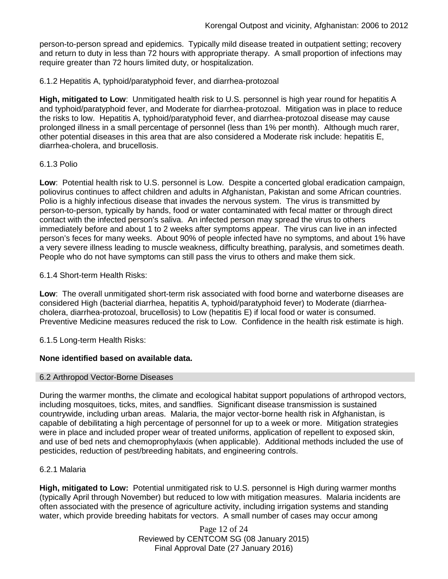person-to-person spread and epidemics. Typically mild disease treated in outpatient setting; recovery and return to duty in less than 72 hours with appropriate therapy. A small proportion of infections may require greater than 72 hours limited duty, or hospitalization.

6.1.2 Hepatitis A, typhoid/paratyphoid fever, and diarrhea-protozoal

**High, mitigated to Low**: Unmitigated health risk to U.S. personnel is high year round for hepatitis A and typhoid/paratyphoid fever, and Moderate for diarrhea-protozoal. Mitigation was in place to reduce the risks to low. Hepatitis A, typhoid/paratyphoid fever, and diarrhea-protozoal disease may cause prolonged illness in a small percentage of personnel (less than 1% per month). Although much rarer, other potential diseases in this area that are also considered a Moderate risk include: hepatitis E, diarrhea-cholera, and brucellosis.

### 6.1.3 Polio

**Low**: Potential health risk to U.S. personnel is Low. Despite a concerted global eradication campaign, poliovirus continues to affect children and adults in Afghanistan, Pakistan and some African countries. Polio is a highly infectious disease that invades the nervous system. The virus is transmitted by person-to-person, typically by hands, food or water contaminated with fecal matter or through direct contact with the infected person's saliva. An infected person may spread the virus to others immediately before and about 1 to 2 weeks after symptoms appear. The virus can live in an infected person's feces for many weeks. About 90% of people infected have no symptoms, and about 1% have a very severe illness leading to muscle weakness, difficulty breathing, paralysis, and sometimes death. People who do not have symptoms can still pass the virus to others and make them sick.

### 6.1.4 Short-term Health Risks:

**Low**: The overall unmitigated short-term risk associated with food borne and waterborne diseases are considered High (bacterial diarrhea, hepatitis A, typhoid/paratyphoid fever) to Moderate (diarrheacholera, diarrhea-protozoal, brucellosis) to Low (hepatitis E) if local food or water is consumed. Preventive Medicine measures reduced the risk to Low. Confidence in the health risk estimate is high.

6.1.5 Long-term Health Risks:

### **None identified based on available data.**

#### 6.2 Arthropod Vector-Borne Diseases

During the warmer months, the climate and ecological habitat support populations of arthropod vectors, including mosquitoes, ticks, mites, and sandflies. Significant disease transmission is sustained countrywide, including urban areas. Malaria, the major vector-borne health risk in Afghanistan, is capable of debilitating a high percentage of personnel for up to a week or more. Mitigation strategies were in place and included proper wear of treated uniforms, application of repellent to exposed skin, and use of bed nets and chemoprophylaxis (when applicable). Additional methods included the use of pesticides, reduction of pest/breeding habitats, and engineering controls.

#### 6.2.1 Malaria

**High, mitigated to Low:** Potential unmitigated risk to U.S. personnel is High during warmer months (typically April through November) but reduced to low with mitigation measures. Malaria incidents are often associated with the presence of agriculture activity, including irrigation systems and standing water, which provide breeding habitats for vectors. A small number of cases may occur among

> Page 12 of 24 Reviewed by CENTCOM SG (08 January 2015) Final Approval Date (27 January 2016)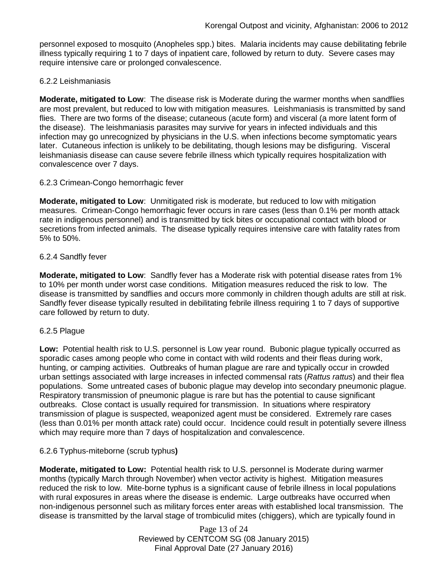personnel exposed to mosquito (Anopheles spp.) bites. Malaria incidents may cause debilitating febrile illness typically requiring 1 to 7 days of inpatient care, followed by return to duty. Severe cases may require intensive care or prolonged convalescence.

### 6.2.2 Leishmaniasis

**Moderate, mitigated to Low**: The disease risk is Moderate during the warmer months when sandflies are most prevalent, but reduced to low with mitigation measures. Leishmaniasis is transmitted by sand flies. There are two forms of the disease; cutaneous (acute form) and visceral (a more latent form of the disease). The leishmaniasis parasites may survive for years in infected individuals and this infection may go unrecognized by physicians in the U.S. when infections become symptomatic years later. Cutaneous infection is unlikely to be debilitating, though lesions may be disfiguring. Visceral leishmaniasis disease can cause severe febrile illness which typically requires hospitalization with convalescence over 7 days.

### 6.2.3 Crimean-Congo hemorrhagic fever

**Moderate, mitigated to Low**: Unmitigated risk is moderate, but reduced to low with mitigation measures. Crimean-Congo hemorrhagic fever occurs in rare cases (less than 0.1% per month attack rate in indigenous personnel) and is transmitted by tick bites or occupational contact with blood or secretions from infected animals. The disease typically requires intensive care with fatality rates from 5% to 50%.

### 6.2.4 Sandfly fever

**Moderate, mitigated to Low**: Sandfly fever has a Moderate risk with potential disease rates from 1% to 10% per month under worst case conditions. Mitigation measures reduced the risk to low. The disease is transmitted by sandflies and occurs more commonly in children though adults are still at risk. Sandfly fever disease typically resulted in debilitating febrile illness requiring 1 to 7 days of supportive care followed by return to duty.

#### 6.2.5 Plague

**Low:** Potential health risk to U.S. personnel is Low year round. Bubonic plague typically occurred as sporadic cases among people who come in contact with wild rodents and their fleas during work, hunting, or camping activities. Outbreaks of human plague are rare and typically occur in crowded urban settings associated with large increases in infected commensal rats (*Rattus rattus*) and their flea populations. Some untreated cases of bubonic plague may develop into secondary pneumonic plague. Respiratory transmission of pneumonic plague is rare but has the potential to cause significant outbreaks. Close contact is usually required for transmission. In situations where respiratory transmission of plague is suspected, weaponized agent must be considered. Extremely rare cases (less than 0.01% per month attack rate) could occur. Incidence could result in potentially severe illness which may require more than 7 days of hospitalization and convalescence.

### 6.2.6 Typhus-miteborne (scrub typhus**)**

**Moderate, mitigated to Low:** Potential health risk to U.S. personnel is Moderate during warmer months (typically March through November) when vector activity is highest. Mitigation measures reduced the risk to low. Mite-borne typhus is a significant cause of febrile illness in local populations with rural exposures in areas where the disease is endemic. Large outbreaks have occurred when non-indigenous personnel such as military forces enter areas with established local transmission. The disease is transmitted by the larval stage of trombiculid mites (chiggers), which are typically found in

> Page 13 of 24 Reviewed by CENTCOM SG (08 January 2015) Final Approval Date (27 January 2016)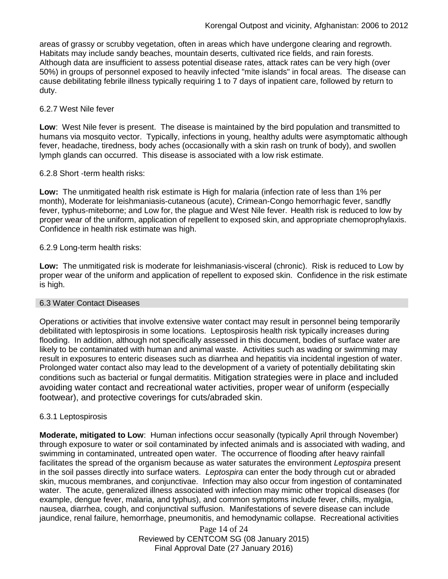areas of grassy or scrubby vegetation, often in areas which have undergone clearing and regrowth. Habitats may include sandy beaches, mountain deserts, cultivated rice fields, and rain forests. Although data are insufficient to assess potential disease rates, attack rates can be very high (over 50%) in groups of personnel exposed to heavily infected "mite islands" in focal areas. The disease can cause debilitating febrile illness typically requiring 1 to 7 days of inpatient care, followed by return to duty.

### 6.2.7 West Nile fever

**Low**: West Nile fever is present. The disease is maintained by the bird population and transmitted to humans via mosquito vector. Typically, infections in young, healthy adults were asymptomatic although fever, headache, tiredness, body aches (occasionally with a skin rash on trunk of body), and swollen lymph glands can occurred. This disease is associated with a low risk estimate.

### 6.2.8 Short -term health risks:

**Low:** The unmitigated health risk estimate is High for malaria (infection rate of less than 1% per month), Moderate for leishmaniasis-cutaneous (acute), Crimean-Congo hemorrhagic fever, sandfly fever, typhus-miteborne; and Low for, the plague and West Nile fever. Health risk is reduced to low by proper wear of the uniform, application of repellent to exposed skin, and appropriate chemoprophylaxis. Confidence in health risk estimate was high.

### 6.2.9 Long-term health risks:

**Low:** The unmitigated risk is moderate for leishmaniasis-visceral (chronic). Risk is reduced to Low by proper wear of the uniform and application of repellent to exposed skin. Confidence in the risk estimate is high.

#### 6.3 Water Contact Diseases

Operations or activities that involve extensive water contact may result in personnel being temporarily debilitated with leptospirosis in some locations. Leptospirosis health risk typically increases during flooding. In addition, although not specifically assessed in this document, bodies of surface water are likely to be contaminated with human and animal waste. Activities such as wading or swimming may result in exposures to enteric diseases such as diarrhea and hepatitis via incidental ingestion of water. Prolonged water contact also may lead to the development of a variety of potentially debilitating skin conditions such as bacterial or fungal dermatitis. Mitigation strategies were in place and included avoiding water contact and recreational water activities, proper wear of uniform (especially footwear), and protective coverings for cuts/abraded skin.

### 6.3.1 Leptospirosis

**Moderate, mitigated to Low**: Human infections occur seasonally (typically April through November) through exposure to water or soil contaminated by infected animals and is associated with wading, and swimming in contaminated, untreated open water. The occurrence of flooding after heavy rainfall facilitates the spread of the organism because as water saturates the environment *Leptospira* present in the soil passes directly into surface waters. *Leptospira* can enter the body through cut or abraded skin, mucous membranes, and conjunctivae. Infection may also occur from ingestion of contaminated water. The acute, generalized illness associated with infection may mimic other tropical diseases (for example, dengue fever, malaria, and typhus), and common symptoms include fever, chills, myalgia, nausea, diarrhea, cough, and conjunctival suffusion. Manifestations of severe disease can include jaundice, renal failure, hemorrhage, pneumonitis, and hemodynamic collapse. Recreational activities

> Page 14 of 24 Reviewed by CENTCOM SG (08 January 2015) Final Approval Date (27 January 2016)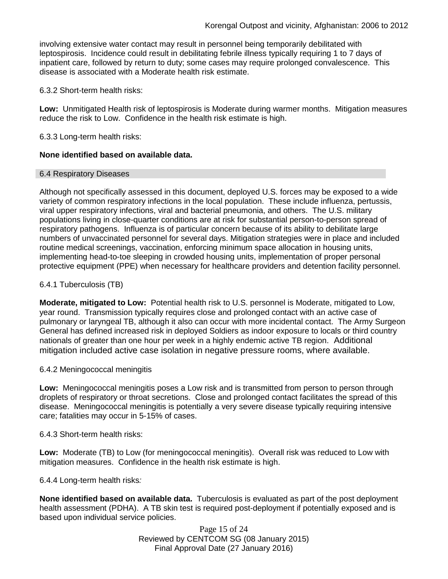involving extensive water contact may result in personnel being temporarily debilitated with leptospirosis. Incidence could result in debilitating febrile illness typically requiring 1 to 7 days of inpatient care, followed by return to duty; some cases may require prolonged convalescence. This disease is associated with a Moderate health risk estimate.

6.3.2 Short-term health risks:

**Low:** Unmitigated Health risk of leptospirosis is Moderate during warmer months. Mitigation measures reduce the risk to Low. Confidence in the health risk estimate is high.

6.3.3 Long-term health risks:

### **None identified based on available data.**

#### 6.4 Respiratory Diseases

Although not specifically assessed in this document, deployed U.S. forces may be exposed to a wide variety of common respiratory infections in the local population. These include influenza, pertussis, viral upper respiratory infections, viral and bacterial pneumonia, and others. The U.S. military populations living in close-quarter conditions are at risk for substantial person-to-person spread of respiratory pathogens. Influenza is of particular concern because of its ability to debilitate large numbers of unvaccinated personnel for several days. Mitigation strategies were in place and included routine medical screenings, vaccination, enforcing minimum space allocation in housing units, implementing head-to-toe sleeping in crowded housing units, implementation of proper personal protective equipment (PPE) when necessary for healthcare providers and detention facility personnel.

### 6.4.1 Tuberculosis (TB)

**Moderate, mitigated to Low:** Potential health risk to U.S. personnel is Moderate, mitigated to Low, year round. Transmission typically requires close and prolonged contact with an active case of pulmonary or laryngeal TB, although it also can occur with more incidental contact. The Army Surgeon General has defined increased risk in deployed Soldiers as indoor exposure to locals or third country nationals of greater than one hour per week in a highly endemic active TB region. Additional mitigation included active case isolation in negative pressure rooms, where available.

#### 6.4.2 Meningococcal meningitis

**Low:** Meningococcal meningitis poses a Low risk and is transmitted from person to person through droplets of respiratory or throat secretions. Close and prolonged contact facilitates the spread of this disease. Meningococcal meningitis is potentially a very severe disease typically requiring intensive care; fatalities may occur in 5-15% of cases.

6.4.3 Short-term health risks:

**Low:** Moderate (TB) to Low (for meningococcal meningitis). Overall risk was reduced to Low with mitigation measures. Confidence in the health risk estimate is high.

6.4.4 Long-term health risks*:*

**None identified based on available data.** Tuberculosis is evaluated as part of the post deployment health assessment (PDHA). A TB skin test is required post-deployment if potentially exposed and is based upon individual service policies.

> Page 15 of 24 Reviewed by CENTCOM SG (08 January 2015) Final Approval Date (27 January 2016)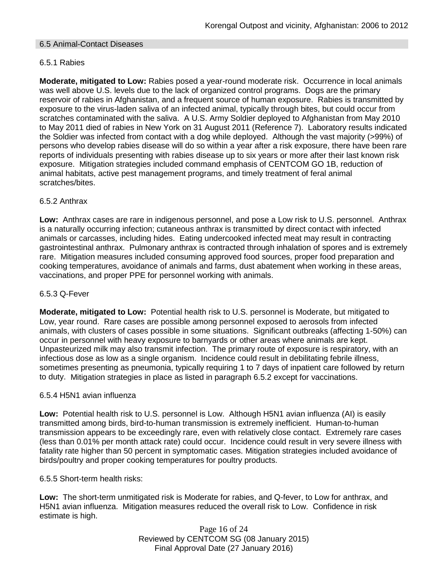### 6.5 Animal-Contact Diseases

### 6.5.1 Rabies

**Moderate, mitigated to Low:** Rabies posed a year-round moderate risk. Occurrence in local animals was well above U.S. levels due to the lack of organized control programs. Dogs are the primary reservoir of rabies in Afghanistan, and a frequent source of human exposure. Rabies is transmitted by exposure to the virus-laden saliva of an infected animal, typically through bites, but could occur from scratches contaminated with the saliva. A U.S. Army Soldier deployed to Afghanistan from May 2010 to May 2011 died of rabies in New York on 31 August 2011 (Reference 7). Laboratory results indicated the Soldier was infected from contact with a dog while deployed. Although the vast majority (>99%) of persons who develop rabies disease will do so within a year after a risk exposure, there have been rare reports of individuals presenting with rabies disease up to six years or more after their last known risk exposure. Mitigation strategies included command emphasis of CENTCOM GO 1B, reduction of animal habitats, active pest management programs, and timely treatment of feral animal scratches/bites.

### 6.5.2 Anthrax

**Low:** Anthrax cases are rare in indigenous personnel, and pose a Low risk to U.S. personnel. Anthrax is a naturally occurring infection; cutaneous anthrax is transmitted by direct contact with infected animals or carcasses, including hides. Eating undercooked infected meat may result in contracting gastrointestinal anthrax. Pulmonary anthrax is contracted through inhalation of spores and is extremely rare. Mitigation measures included consuming approved food sources, proper food preparation and cooking temperatures, avoidance of animals and farms, dust abatement when working in these areas, vaccinations, and proper PPE for personnel working with animals.

#### 6.5.3 Q-Fever

**Moderate, mitigated to Low:** Potential health risk to U.S. personnel is Moderate, but mitigated to Low, year round. Rare cases are possible among personnel exposed to aerosols from infected animals, with clusters of cases possible in some situations. Significant outbreaks (affecting 1-50%) can occur in personnel with heavy exposure to barnyards or other areas where animals are kept. Unpasteurized milk may also transmit infection. The primary route of exposure is respiratory, with an infectious dose as low as a single organism. Incidence could result in debilitating febrile illness, sometimes presenting as pneumonia, typically requiring 1 to 7 days of inpatient care followed by return to duty. Mitigation strategies in place as listed in paragraph 6.5.2 except for vaccinations.

#### 6.5.4 H5N1 avian influenza

**Low:** Potential health risk to U.S. personnel is Low. Although H5N1 avian influenza (AI) is easily transmitted among birds, bird-to-human transmission is extremely inefficient. Human-to-human transmission appears to be exceedingly rare, even with relatively close contact. Extremely rare cases (less than 0.01% per month attack rate) could occur. Incidence could result in very severe illness with fatality rate higher than 50 percent in symptomatic cases. Mitigation strategies included avoidance of birds/poultry and proper cooking temperatures for poultry products.

#### 6.5.5 Short-term health risks:

**Low:** The short-term unmitigated risk is Moderate for rabies, and Q-fever, to Low for anthrax, and H5N1 avian influenza. Mitigation measures reduced the overall risk to Low.Confidence in risk estimate is high.

> Page 16 of 24 Reviewed by CENTCOM SG (08 January 2015) Final Approval Date (27 January 2016)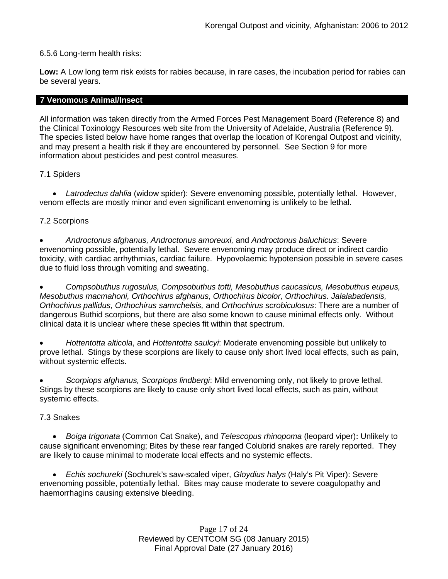### 6.5.6 Long-term health risks:

**Low:** A Low long term risk exists for rabies because, in rare cases, the incubation period for rabies can be several years.

### **7 Venomous Animal/Insect**

All information was taken directly from the Armed Forces Pest Management Board (Reference 8) and the Clinical Toxinology Resources web site from the University of Adelaide, Australia (Reference 9). The species listed below have home ranges that overlap the location of Korengal Outpost and vicinity, and may present a health risk if they are encountered by personnel. See Section 9 for more information about pesticides and pest control measures.

# 7.1 Spiders

• *Latrodectus dahlia* (widow spider): Severe envenoming possible, potentially lethal. However, venom effects are mostly minor and even significant envenoming is unlikely to be lethal.

# 7.2 Scorpions

• *Androctonus afghanus, Androctonus amoreuxi,* and *Androctonus baluchicus*: Severe envenoming possible, potentially lethal. Severe envenoming may produce direct or indirect cardio toxicity, with cardiac arrhythmias, cardiac failure. Hypovolaemic hypotension possible in severe cases due to fluid loss through vomiting and sweating.

• *Compsobuthus rugosulus, Compsobuthus tofti, Mesobuthus caucasicus, Mesobuthus eupeus, Mesobuthus macmahoni, Orthochirus afghanus*, *Orthochirus bicolor, Orthochirus. Jalalabadensis, Orthochirus pallidus, Orthochirus samrchelsis,* and *Orthochirus scrobiculosus*: There are a number of dangerous Buthid scorpions, but there are also some known to cause minimal effects only. Without clinical data it is unclear where these species fit within that spectrum.

• *Hottentotta alticola*, and *Hottentotta saulcyi*: Moderate envenoming possible but unlikely to prove lethal. Stings by these scorpions are likely to cause only short lived local effects, such as pain, without systemic effects.

• *Scorpiops afghanus, Scorpiops lindbergi*: Mild envenoming only, not likely to prove lethal. Stings by these scorpions are likely to cause only short lived local effects, such as pain, without systemic effects.

### 7.3 Snakes

• *[Boiga](http://www.toxinology.com/fusebox.cfm?fuseaction=main.snakes.display&id=SN0722) [trigonata](http://www.toxinology.com/fusebox.cfm?fuseaction=main.snakes.display&id=SN0722)* (Common Cat Snake), and *Telescopus rhinopoma* (leopard viper): Unlikely to cause significant envenoming; Bites by these rear fanged Colubrid snakes are rarely reported. They are likely to cause minimal to moderate local effects and no systemic effects.

• *Echis sochureki* (Sochurek's saw-scaled viper, *Gloydius halys* (Haly's Pit Viper): Severe envenoming possible, potentially lethal. Bites may cause moderate to severe coagulopathy and haemorrhagins causing extensive bleeding.

> Page 17 of 24 Reviewed by CENTCOM SG (08 January 2015) Final Approval Date (27 January 2016)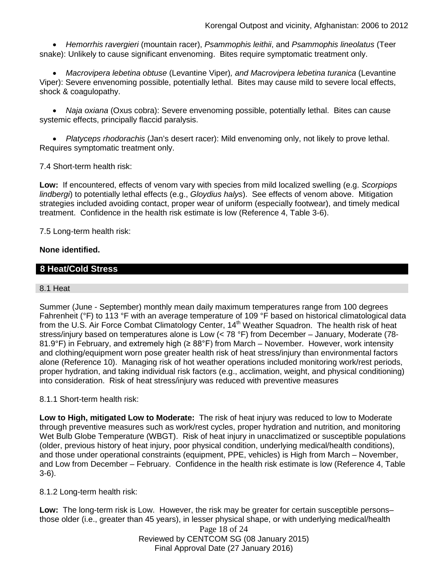• *Hemorrhis ravergieri* (mountain racer), *Psammophis leithii*, and *Psammophis lineolatus* (Teer snake): Unlikely to cause significant envenoming. Bites require symptomatic treatment only.

• *Macrovipera lebetina obtuse* (Levantine Viper)*, and Macrovipera lebetina turanica* (Levantine Viper): Severe envenoming possible, potentially lethal. Bites may cause mild to severe local effects, shock & coagulopathy.

• *Naja oxiana* (Oxus cobra): Severe envenoming possible, potentially lethal. Bites can cause systemic effects, principally flaccid paralysis.

• *Platyceps rhodorachis* (Jan's desert racer): Mild envenoming only, not likely to prove lethal. Requires symptomatic treatment only.

7.4 Short-term health risk:

**Low:** If encountered, effects of venom vary with species from mild localized swelling (e.g. *Scorpiops lindbergi*) to potentially lethal effects (e.g., *Gloydius halys*). See effects of venom above. Mitigation strategies included avoiding contact, proper wear of uniform (especially footwear), and timely medical treatment. Confidence in the health risk estimate is low (Reference 4, Table 3-6).

7.5 Long-term health risk:

### **None identified.**

# **8 Heat/Cold Stress**

### 8.1 Heat

Summer (June - September) monthly mean daily maximum temperatures range from 100 degrees Fahrenheit (°F) to 113 °F with an average temperature of 109 °F based on historical climatological data from the U.S. Air Force Combat Climatology Center, 14<sup>th</sup> Weather Squadron. The health risk of heat stress/injury based on temperatures alone is Low (< 78 °F) from December – January, Moderate (78- 81.9°F) in February, and extremely high ( $\geq 88^\circ$ F) from March – November. However, work intensity and clothing/equipment worn pose greater health risk of heat stress/injury than environmental factors alone (Reference 10). Managing risk of hot weather operations included monitoring work/rest periods, proper hydration, and taking individual risk factors (e.g., acclimation, weight, and physical conditioning) into consideration. Risk of heat stress/injury was reduced with preventive measures

### 8.1.1 Short-term health risk:

**Low to High, mitigated Low to Moderate:** The risk of heat injury was reduced to low to Moderate through preventive measures such as work/rest cycles, proper hydration and nutrition, and monitoring Wet Bulb Globe Temperature (WBGT). Risk of heat injury in unacclimatized or susceptible populations (older, previous history of heat injury, poor physical condition, underlying medical/health conditions), and those under operational constraints (equipment, PPE, vehicles) is High from March – November, and Low from December – February. Confidence in the health risk estimate is low (Reference 4, Table 3-6).

8.1.2 Long-term health risk:

**Low:** The long-term risk is Low. However, the risk may be greater for certain susceptible persons– those older (i.e., greater than 45 years), in lesser physical shape, or with underlying medical/health

> Page 18 of 24 Reviewed by CENTCOM SG (08 January 2015) Final Approval Date (27 January 2016)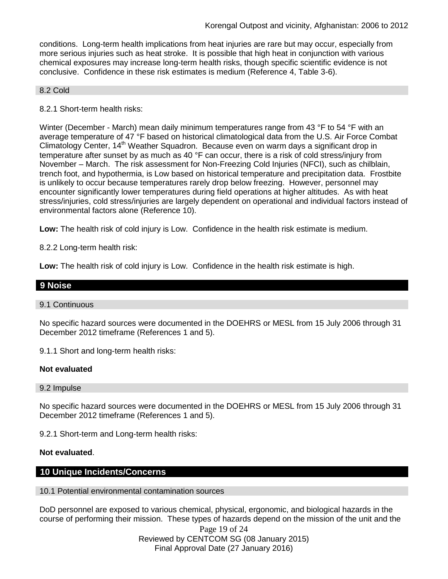conditions. Long-term health implications from heat injuries are rare but may occur, especially from more serious injuries such as heat stroke. It is possible that high heat in conjunction with various chemical exposures may increase long-term health risks, though specific scientific evidence is not conclusive. Confidence in these risk estimates is medium (Reference 4, Table 3-6).

#### 8.2 Cold

8.2.1 Short-term health risks:

Winter (December - March) mean daily minimum temperatures range from 43 °F to 54 °F with an average temperature of 47 °F based on historical climatological data from the U.S. Air Force Combat Climatology Center, 14<sup>th</sup> Weather Squadron. Because even on warm days a significant drop in temperature after sunset by as much as 40 °F can occur, there is a risk of cold stress/injury from November – March. The risk assessment for Non-Freezing Cold Injuries (NFCI), such as chilblain, trench foot, and hypothermia, is Low based on historical temperature and precipitation data. Frostbite is unlikely to occur because temperatures rarely drop below freezing. However, personnel may encounter significantly lower temperatures during field operations at higher altitudes. As with heat stress/injuries, cold stress/injuries are largely dependent on operational and individual factors instead of environmental factors alone (Reference 10).

**Low:** The health risk of cold injury is Low. Confidence in the health risk estimate is medium.

8.2.2 Long-term health risk:

**Low:** The health risk of cold injury is Low. Confidence in the health risk estimate is high.

# **9 Noise**

#### 9.1 Continuous

No specific hazard sources were documented in the DOEHRS or MESL from 15 July 2006 through 31 December 2012 timeframe (References 1 and 5).

9.1.1 Short and long-term health risks:

### **Not evaluated**

9.2 Impulse

No specific hazard sources were documented in the DOEHRS or MESL from 15 July 2006 through 31 December 2012 timeframe (References 1 and 5).

9.2.1 Short-term and Long-term health risks:

#### **Not evaluated**.

### **10 Unique Incidents/Concerns**

#### 10.1 Potential environmental contamination sources

DoD personnel are exposed to various chemical, physical, ergonomic, and biological hazards in the course of performing their mission. These types of hazards depend on the mission of the unit and the

> Page 19 of 24 Reviewed by CENTCOM SG (08 January 2015) Final Approval Date (27 January 2016)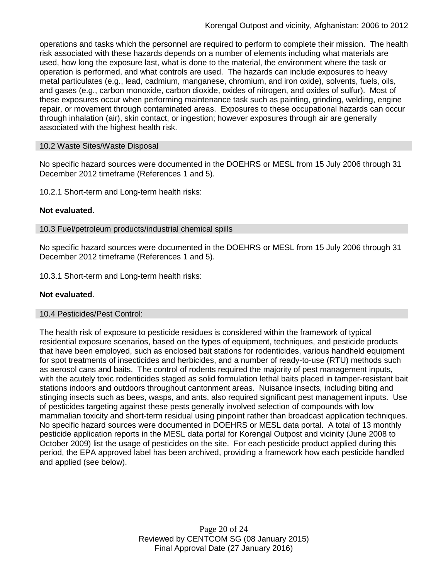operations and tasks which the personnel are required to perform to complete their mission. The health risk associated with these hazards depends on a number of elements including what materials are used, how long the exposure last, what is done to the material, the environment where the task or operation is performed, and what controls are used. The hazards can include exposures to heavy metal particulates (e.g., lead, cadmium, manganese, chromium, and iron oxide), solvents, fuels, oils, and gases (e.g., carbon monoxide, carbon dioxide, oxides of nitrogen, and oxides of sulfur). Most of these exposures occur when performing maintenance task such as painting, grinding, welding, engine repair, or movement through contaminated areas. Exposures to these occupational hazards can occur through inhalation (air), skin contact, or ingestion; however exposures through air are generally associated with the highest health risk.

#### 10.2 Waste Sites/Waste Disposal

No specific hazard sources were documented in the DOEHRS or MESL from 15 July 2006 through 31 December 2012 timeframe (References 1 and 5).

10.2.1 Short-term and Long-term health risks:

### **Not evaluated**.

10.3 Fuel/petroleum products/industrial chemical spills

No specific hazard sources were documented in the DOEHRS or MESL from 15 July 2006 through 31 December 2012 timeframe (References 1 and 5).

10.3.1 Short-term and Long-term health risks:

#### **Not evaluated**.

#### 10.4 Pesticides/Pest Control:

The health risk of exposure to pesticide residues is considered within the framework of typical residential exposure scenarios, based on the types of equipment, techniques, and pesticide products that have been employed, such as enclosed bait stations for rodenticides, various handheld equipment for spot treatments of insecticides and herbicides, and a number of ready-to-use (RTU) methods such as aerosol cans and baits. The control of rodents required the majority of pest management inputs, with the acutely toxic rodenticides staged as solid formulation lethal baits placed in tamper-resistant bait stations indoors and outdoors throughout cantonment areas. Nuisance insects, including biting and stinging insects such as bees, wasps, and ants, also required significant pest management inputs. Use of pesticides targeting against these pests generally involved selection of compounds with low mammalian toxicity and short-term residual using pinpoint rather than broadcast application techniques. No specific hazard sources were documented in DOEHRS or MESL data portal. A total of 13 monthly pesticide application reports in the MESL data portal for Korengal Outpost and vicinity (June 2008 to October 2009) list the usage of pesticides on the site. For each pesticide product applied during this period, the EPA approved label has been archived, providing a framework how each pesticide handled and applied (see below).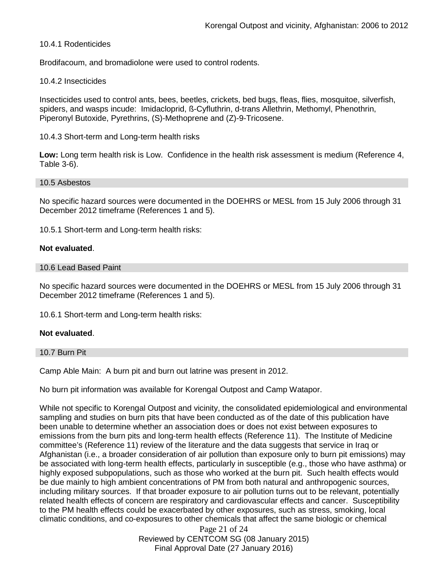### 10.4.1 Rodenticides

Brodifacoum, and bromadiolone were used to control rodents.

#### 10.4.2 Insecticides

Insecticides used to control ants, bees, beetles, crickets, bed bugs, fleas, flies, mosquitoe, silverfish, spiders, and wasps incude: Imidacloprid, ß-Cyfluthrin, d-trans Allethrin, Methomyl, Phenothrin, Piperonyl Butoxide, Pyrethrins, (S)-Methoprene and (Z)-9-Tricosene.

#### 10.4.3 Short-term and Long-term health risks

**Low:** Long term health risk is Low. Confidence in the health risk assessment is medium (Reference 4, Table 3-6).

#### 10.5 Asbestos

No specific hazard sources were documented in the DOEHRS or MESL from 15 July 2006 through 31 December 2012 timeframe (References 1 and 5).

10.5.1 Short-term and Long-term health risks:

#### **Not evaluated**.

#### 10.6 Lead Based Paint

No specific hazard sources were documented in the DOEHRS or MESL from 15 July 2006 through 31 December 2012 timeframe (References 1 and 5).

10.6.1 Short-term and Long-term health risks:

#### **Not evaluated**.

#### 10.7 Burn Pit

Camp Able Main: A burn pit and burn out latrine was present in 2012.

No burn pit information was available for Korengal Outpost and Camp Watapor.

While not specific to Korengal Outpost and vicinity, the consolidated epidemiological and environmental sampling and studies on burn pits that have been conducted as of the date of this publication have been unable to determine whether an association does or does not exist between exposures to emissions from the burn pits and long-term health effects (Reference 11). The Institute of Medicine committee's (Reference 11) review of the literature and the data suggests that service in Iraq or Afghanistan (i.e., a broader consideration of air pollution than exposure only to burn pit emissions) may be associated with long-term health effects, particularly in susceptible (e.g., those who have asthma) or highly exposed subpopulations, such as those who worked at the burn pit. Such health effects would be due mainly to high ambient concentrations of PM from both natural and anthropogenic sources, including military sources. If that broader exposure to air pollution turns out to be relevant, potentially related health effects of concern are respiratory and cardiovascular effects and cancer. Susceptibility to the PM health effects could be exacerbated by other exposures, such as stress, smoking, local climatic conditions, and co-exposures to other chemicals that affect the same biologic or chemical

> Page 21 of 24 Reviewed by CENTCOM SG (08 January 2015) Final Approval Date (27 January 2016)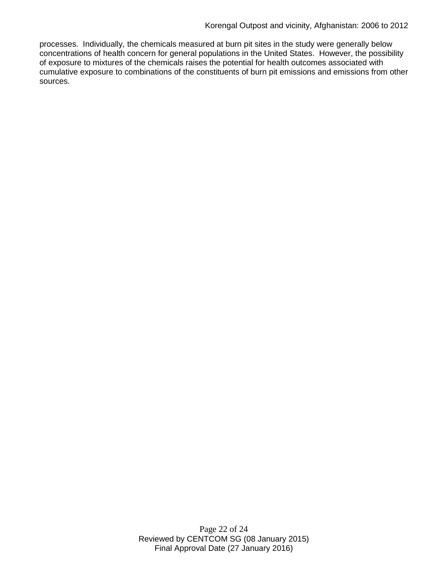processes. Individually, the chemicals measured at burn pit sites in the study were generally below concentrations of health concern for general populations in the United States. However, the possibility of exposure to mixtures of the chemicals raises the potential for health outcomes associated with cumulative exposure to combinations of the constituents of burn pit emissions and emissions from other sources.

> Page 22 of 24 Reviewed by CENTCOM SG (08 January 2015) Final Approval Date (27 January 2016)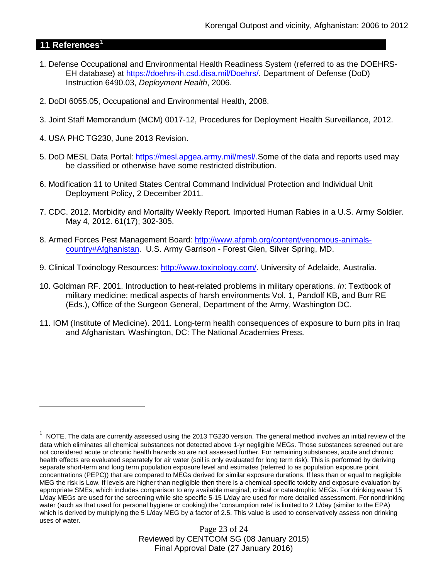# **11 References[1](#page-22-0)**

 $\overline{a}$ 

- 1. Defense Occupational and Environmental Health Readiness System (referred to as the DOEHRS-EH database) at https://doehrs-ih.csd.disa.mil/Doehrs/. Department of Defense (DoD) Instruction 6490.03, *Deployment Health*, 2006.
- 2. DoDI 6055.05, Occupational and Environmental Health, 2008.
- 3. Joint Staff Memorandum (MCM) 0017-12, Procedures for Deployment Health Surveillance, 2012.
- 4. USA PHC TG230, June 2013 Revision.
- 5. DoD MESL Data Portal: https://mesl.apgea.army.mil/mesl/.Some of the data and reports used may be classified or otherwise have some restricted distribution.
- 6. Modification 11 to United States Central Command Individual Protection and Individual Unit Deployment Policy, 2 December 2011.
- 7. CDC. 2012. Morbidity and Mortality Weekly Report. Imported Human Rabies in a U.S. Army Soldier. May 4, 2012. 61(17); 302-305.
- 8. Armed Forces Pest Management Board: [http://www.afpmb.org/content/venomous-animals](http://www.afpmb.org/content/venomous-animals-country#Afghanistan)[country#Afghanistan.](http://www.afpmb.org/content/venomous-animals-country#Afghanistan) U.S. Army Garrison - Forest Glen, Silver Spring, MD.
- 9. Clinical Toxinology Resources: [http://www.toxinology.com/.](http://www.toxinology.com/) University of Adelaide, Australia.
- 10. Goldman RF. 2001. Introduction to heat-related problems in military operations. *In*: Textbook of military medicine: medical aspects of harsh environments Vol. 1, Pandolf KB, and Burr RE (Eds.), Office of the Surgeon General, Department of the Army, Washington DC.
- 11. IOM (Institute of Medicine). 2011*.* Long-term health consequences of exposure to burn pits in Iraq and Afghanistan*.* Washington, DC: The National Academies Press.

Page 23 of 24 Reviewed by CENTCOM SG (08 January 2015) Final Approval Date (27 January 2016)

<span id="page-22-0"></span> $1$  NOTE. The data are currently assessed using the 2013 TG230 version. The general method involves an initial review of the data which eliminates all chemical substances not detected above 1-yr negligible MEGs. Those substances screened out are not considered acute or chronic health hazards so are not assessed further. For remaining substances, acute and chronic health effects are evaluated separately for air water (soil is only evaluated for long term risk). This is performed by deriving separate short-term and long term population exposure level and estimates (referred to as population exposure point concentrations (PEPC)) that are compared to MEGs derived for similar exposure durations. If less than or equal to negligible MEG the risk is Low. If levels are higher than negligible then there is a chemical-specific toxicity and exposure evaluation by appropriate SMEs, which includes comparison to any available marginal, critical or catastrophic MEGs. For drinking water 15 L/day MEGs are used for the screening while site specific 5-15 L/day are used for more detailed assessment. For nondrinking water (such as that used for personal hygiene or cooking) the 'consumption rate' is limited to 2 L/day (similar to the EPA) which is derived by multiplying the 5 L/day MEG by a factor of 2.5. This value is used to conservatively assess non drinking uses of water.